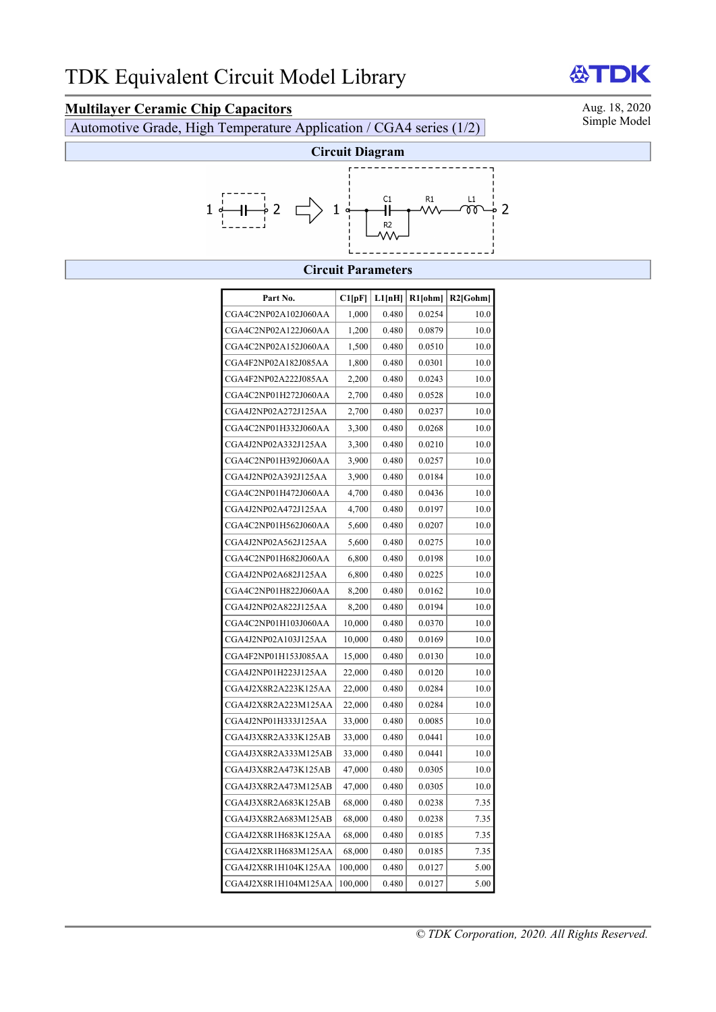**Multilayer Ceramic Chip Capacitors**<br>Automotive Grade High Temperature Application / CGA4 series (1/2) Simple Model Automotive Grade, High Temperature Application / CGA4 series  $(1/2)$ 



### **Circuit Parameters**

| Part No.             | Cl[pF]  | L1[nH] | $R1$ [ohm] | $R2$ [Gohm] |
|----------------------|---------|--------|------------|-------------|
| CGA4C2NP02A102J060AA | 1,000   | 0.480  | 0.0254     | 10.0        |
| CGA4C2NP02A122J060AA | 1,200   | 0.480  | 0.0879     | 10.0        |
| CGA4C2NP02A152J060AA | 1,500   | 0.480  | 0.0510     | 10.0        |
| CGA4F2NP02A182J085AA | 1,800   | 0.480  | 0.0301     | 10.0        |
| CGA4F2NP02A222J085AA | 2,200   | 0.480  | 0.0243     | 10.0        |
| CGA4C2NP01H272J060AA | 2,700   | 0.480  | 0.0528     | 10.0        |
| CGA4J2NP02A272J125AA | 2,700   | 0.480  | 0.0237     | 10.0        |
| CGA4C2NP01H332J060AA | 3,300   | 0.480  | 0.0268     | 10.0        |
| CGA4J2NP02A332J125AA | 3,300   | 0.480  | 0.0210     | 10.0        |
| CGA4C2NP01H392J060AA | 3,900   | 0.480  | 0.0257     | 10.0        |
| CGA4J2NP02A392J125AA | 3,900   | 0.480  | 0.0184     | 10.0        |
| CGA4C2NP01H472J060AA | 4,700   | 0.480  | 0.0436     | 10.0        |
| CGA4J2NP02A472J125AA | 4,700   | 0.480  | 0.0197     | 10.0        |
| CGA4C2NP01H562J060AA | 5,600   | 0.480  | 0.0207     | 10.0        |
| CGA4J2NP02A562J125AA | 5,600   | 0.480  | 0.0275     | 10.0        |
| CGA4C2NP01H682J060AA | 6,800   | 0.480  | 0.0198     | 10.0        |
| CGA4J2NP02A682J125AA | 6,800   | 0.480  | 0.0225     | 10.0        |
| CGA4C2NP01H822J060AA | 8,200   | 0.480  | 0.0162     | 10.0        |
| CGA4J2NP02A822J125AA | 8,200   | 0.480  | 0.0194     | 10.0        |
| CGA4C2NP01H103J060AA | 10,000  | 0.480  | 0.0370     | 10.0        |
| CGA4J2NP02A103J125AA | 10,000  | 0.480  | 0.0169     | 10.0        |
| CGA4F2NP01H153J085AA | 15,000  | 0.480  | 0.0130     | 10.0        |
| CGA4J2NP01H223J125AA | 22,000  | 0.480  | 0.0120     | 10.0        |
| CGA4J2X8R2A223K125AA | 22,000  | 0.480  | 0.0284     | 10.0        |
| CGA4J2X8R2A223M125AA | 22,000  | 0.480  | 0.0284     | 10.0        |
| CGA4J2NP01H333J125AA | 33,000  | 0.480  | 0.0085     | 10.0        |
| CGA4J3X8R2A333K125AB | 33,000  | 0.480  | 0.0441     | 10.0        |
| CGA4J3X8R2A333M125AB | 33,000  | 0.480  | 0.0441     | 10.0        |
| CGA4J3X8R2A473K125AB | 47,000  | 0.480  | 0.0305     | 10.0        |
| CGA4J3X8R2A473M125AB | 47,000  | 0.480  | 0.0305     | 10.0        |
| CGA4J3X8R2A683K125AB | 68,000  | 0.480  | 0.0238     | 7.35        |
| CGA4J3X8R2A683M125AB | 68,000  | 0.480  | 0.0238     | 7.35        |
| CGA4J2X8R1H683K125AA | 68,000  | 0.480  | 0.0185     | 7.35        |
| CGA4J2X8R1H683M125AA | 68,000  | 0.480  | 0.0185     | 7.35        |
| CGA4J2X8R1H104K125AA | 100,000 | 0.480  | 0.0127     | 5.00        |
| CGA4J2X8R1H104M125AA | 100,000 | 0.480  | 0.0127     | 5.00        |

# **ATDK**